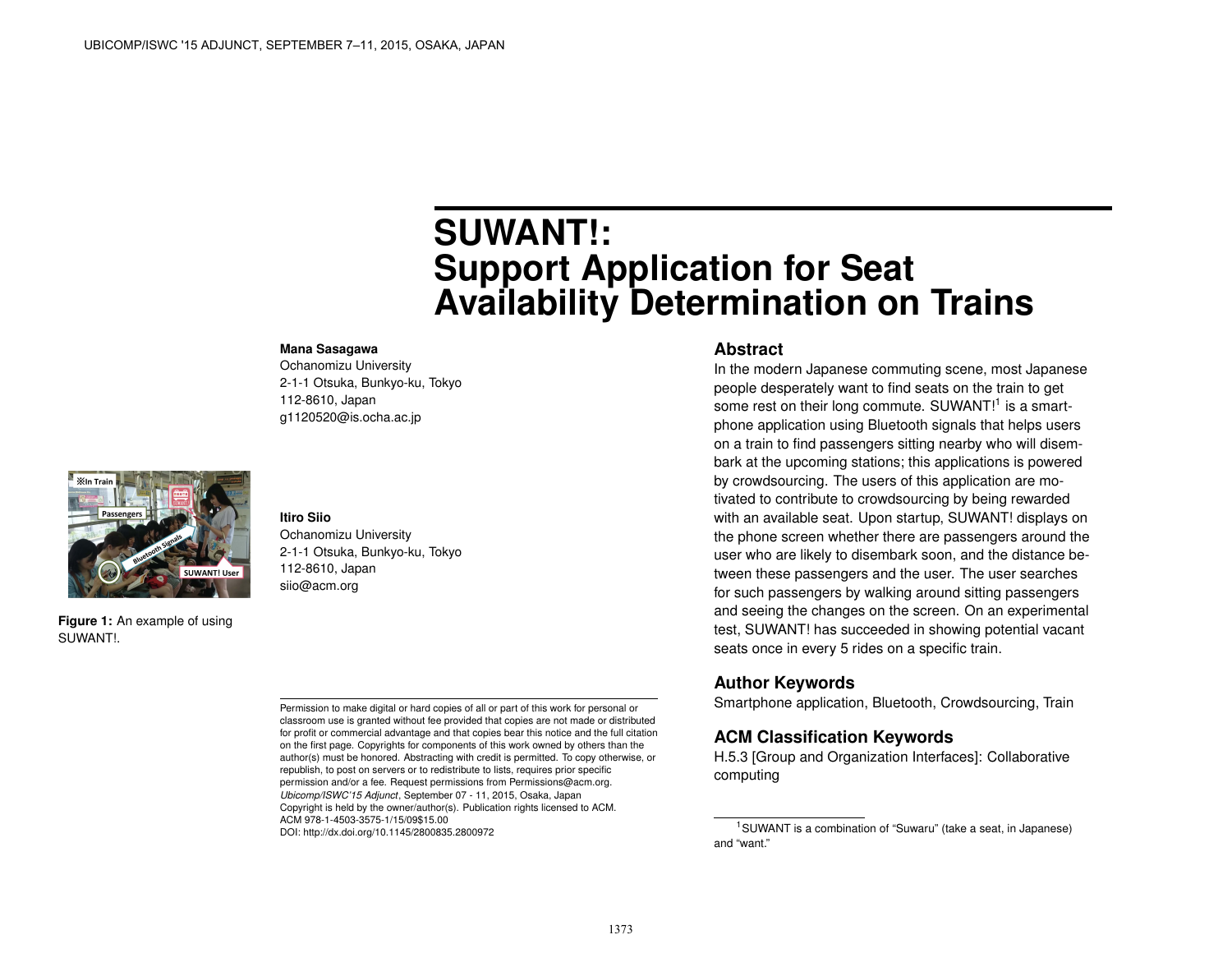# **SUWANT!: Support Application for Seat Availability Determination on Trains**

#### **Mana Sasagawa**

Ochanomizu University 2-1-1 Otsuka, Bunkyo-ku, Tokyo 112-8610, Japan g1120520@is.ocha.ac.jp



**Figure 1:** An example of using SUWANT!.

**Itiro Siio** Ochanomizu University 2-1-1 Otsuka, Bunkyo-ku, Tokyo 112-8610, Japan siio@acm.org

Permission to make digital or hard copies of all or part of this work for personal or classroom use is granted without fee provided that copies are not made or distributed for profit or commercial advantage and that copies bear this notice and the full citation on the first page. Copyrights for components of this work owned by others than the author(s) must be honored. Abstracting with credit is permitted. To copy otherwise, or republish, to post on servers or to redistribute to lists, requires prior specific permission and/or a fee. Request permissions from Permissions@acm.org. *Ubicomp/ISWC'15 Adjunct*, September 07 - 11, 2015, Osaka, Japan Copyright is held by the owner/author(s). Publication rights licensed to ACM. ACM 978-1-4503-3575-1/15/09\$15.00 DOI: http://dx.doi.org/10.1145/2800835.2800972

#### **Abstract**

In the modern Japanese commuting scene, most Japanese people desperately want to find seats on the train to get some rest on their long commute. SUWANT!<sup>[1](#page-0-0)</sup> is a smartphone application using Bluetooth signals that helps users on a train to find passengers sitting nearby who will disembark at the upcoming stations; this applications is powered by crowdsourcing. The users of this application are motivated to contribute to crowdsourcing by being rewarded with an available seat. Upon startup, SUWANT! displays on the phone screen whether there are passengers around the user who are likely to disembark soon, and the distance between these passengers and the user. The user searches for such passengers by walking around sitting passengers and seeing the changes on the screen. On an experimental test, SUWANT! has succeeded in showing potential vacant seats once in every 5 rides on a specific train.

#### **Author Keywords**

Smartphone application, Bluetooth, Crowdsourcing, Train

## **ACM Classification Keywords**

H.5.3 [Group and Organization Interfaces]: Collaborative computing

<span id="page-0-0"></span><sup>1</sup>SUWANT is a combination of "Suwaru" (take a seat, in Japanese) and "want."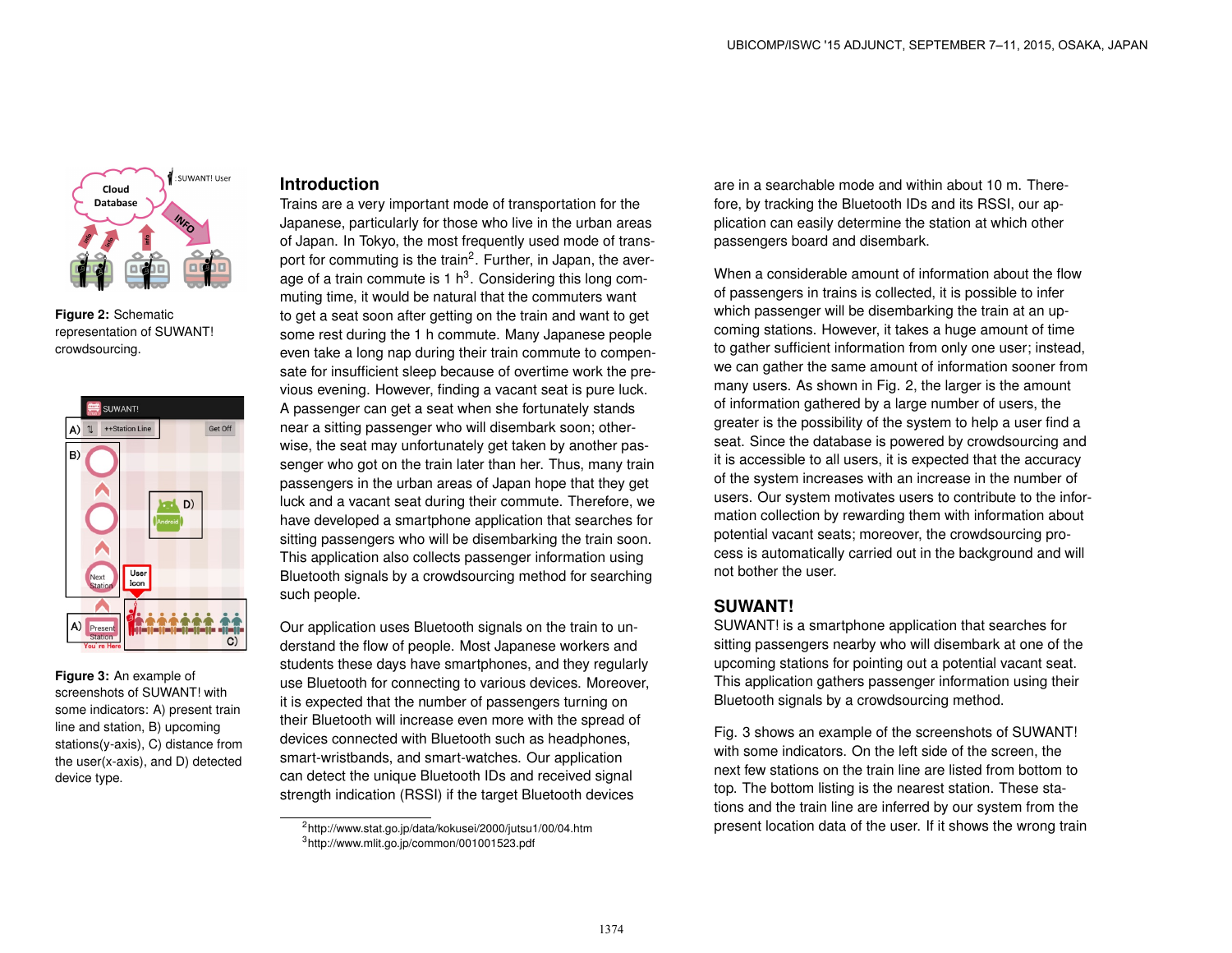

<span id="page-1-2"></span>**Figure 2:** Schematic representation of SUWANT! crowdsourcing.



<span id="page-1-3"></span>**Figure 3:** An example of screenshots of SUWANT! with some indicators: A) present train line and station, B) upcoming stations(y-axis), C) distance from the user(x-axis), and D) detected device type.

#### **Introduction**

Trains are a very important mode of transportation for the Japanese, particularly for those who live in the urban areas of Japan. In Tokyo, the most frequently used mode of trans-port for commuting is the train<sup>[2](#page-1-0)</sup>. Further, in Japan, the average of a train commute is 1  $h^3$  $h^3$ . Considering this long commuting time, it would be natural that the commuters want to get a seat soon after getting on the train and want to get some rest during the 1 h commute. Many Japanese people even take a long nap during their train commute to compensate for insufficient sleep because of overtime work the previous evening. However, finding a vacant seat is pure luck. A passenger can get a seat when she fortunately stands near a sitting passenger who will disembark soon; otherwise, the seat may unfortunately get taken by another passenger who got on the train later than her. Thus, many train passengers in the urban areas of Japan hope that they get luck and a vacant seat during their commute. Therefore, we have developed a smartphone application that searches for sitting passengers who will be disembarking the train soon. This application also collects passenger information using Bluetooth signals by a crowdsourcing method for searching such people.

Our application uses Bluetooth signals on the train to understand the flow of people. Most Japanese workers and students these days have smartphones, and they regularly use Bluetooth for connecting to various devices. Moreover, it is expected that the number of passengers turning on their Bluetooth will increase even more with the spread of devices connected with Bluetooth such as headphones, smart-wristbands, and smart-watches. Our application can detect the unique Bluetooth IDs and received signal strength indication (RSSI) if the target Bluetooth devices

are in a searchable mode and within about 10 m. Therefore, by tracking the Bluetooth IDs and its RSSI, our application can easily determine the station at which other passengers board and disembark.

When a considerable amount of information about the flow of passengers in trains is collected, it is possible to infer which passenger will be disembarking the train at an upcoming stations. However, it takes a huge amount of time to gather sufficient information from only one user; instead, we can gather the same amount of information sooner from many users. As shown in Fig. [2,](#page-1-2) the larger is the amount of information gathered by a large number of users, the greater is the possibility of the system to help a user find a seat. Since the database is powered by crowdsourcing and it is accessible to all users, it is expected that the accuracy of the system increases with an increase in the number of users. Our system motivates users to contribute to the information collection by rewarding them with information about potential vacant seats; moreover, the crowdsourcing process is automatically carried out in the background and will not bother the user.

## **SUWANT!**

SUWANT! is a smartphone application that searches for sitting passengers nearby who will disembark at one of the upcoming stations for pointing out a potential vacant seat. This application gathers passenger information using their Bluetooth signals by a crowdsourcing method.

Fig. [3](#page-1-3) shows an example of the screenshots of SUWANT! with some indicators. On the left side of the screen, the next few stations on the train line are listed from bottom to top. The bottom listing is the nearest station. These stations and the train line are inferred by our system from the present location data of the user. If it shows the wrong train

<span id="page-1-1"></span><span id="page-1-0"></span><sup>2</sup>http://www.stat.go.jp/data/kokusei/2000/jutsu1/00/04.htm <sup>3</sup>http://www.mlit.go.jp/common/001001523.pdf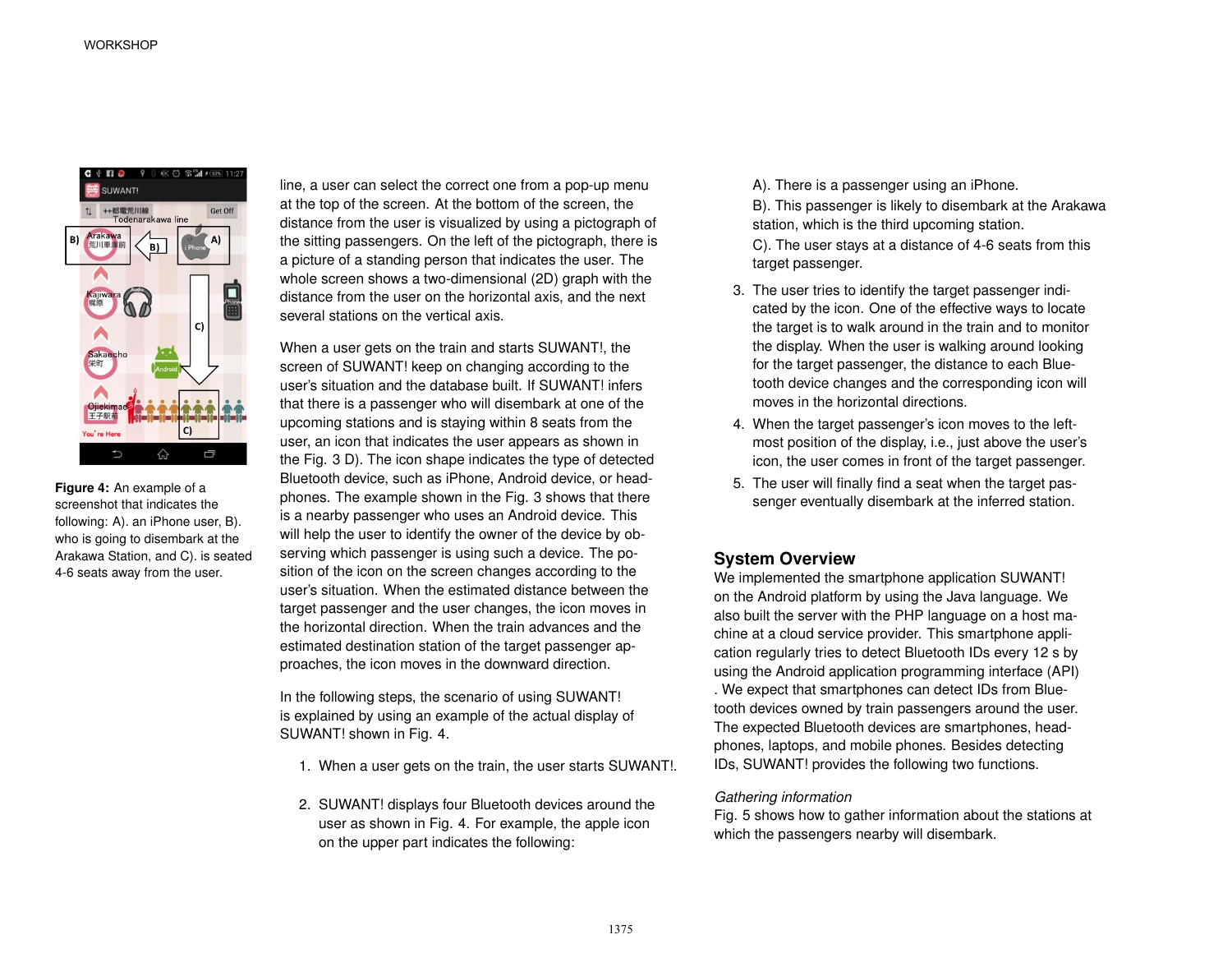

<span id="page-2-0"></span>**Figure 4:** An example of a screenshot that indicates the following: A). an iPhone user, B). who is going to disembark at the Arakawa Station, and C). is seated 4-6 seats away from the user.

line, a user can select the correct one from a pop-up menu at the top of the screen. At the bottom of the screen, the distance from the user is visualized by using a pictograph of the sitting passengers. On the left of the pictograph, there is a picture of a standing person that indicates the user. The whole screen shows a two-dimensional (2D) graph with the distance from the user on the horizontal axis, and the next several stations on the vertical axis.

When a user gets on the train and starts SUWANT!, the screen of SUWANT! keep on changing according to the user's situation and the database built. If SUWANT! infers that there is a passenger who will disembark at one of the upcoming stations and is staying within 8 seats from the user, an icon that indicates the user appears as shown in the Fig. [3](#page-1-3) D). The icon shape indicates the type of detected Bluetooth device, such as iPhone, Android device, or headphones. The example shown in the Fig. [3](#page-1-3) shows that there is a nearby passenger who uses an Android device. This will help the user to identify the owner of the device by observing which passenger is using such a device. The position of the icon on the screen changes according to the user's situation. When the estimated distance between the target passenger and the user changes, the icon moves in the horizontal direction. When the train advances and the estimated destination station of the target passenger approaches, the icon moves in the downward direction.

In the following steps, the scenario of using SUWANT! is explained by using an example of the actual display of SUWANT! shown in Fig. [4.](#page-2-0)

- 1. When a user gets on the train, the user starts SUWANT!.
- 2. SUWANT! displays four Bluetooth devices around the user as shown in Fig. [4.](#page-2-0) For example, the apple icon on the upper part indicates the following:

A). There is a passenger using an iPhone.

B). This passenger is likely to disembark at the Arakawa station, which is the third upcoming station.

C). The user stays at a distance of 4-6 seats from this target passenger.

- 3. The user tries to identify the target passenger indicated by the icon. One of the effective ways to locate the target is to walk around in the train and to monitor the display. When the user is walking around looking for the target passenger, the distance to each Bluetooth device changes and the corresponding icon will moves in the horizontal directions.
- 4. When the target passenger's icon moves to the leftmost position of the display, i.e., just above the user's icon, the user comes in front of the target passenger.
- 5. The user will finally find a seat when the target passenger eventually disembark at the inferred station.

# **System Overview**

We implemented the smartphone application SUWANT! on the Android platform by using the Java language. We also built the server with the PHP language on a host machine at a cloud service provider. This smartphone application regularly tries to detect Bluetooth IDs every 12 s by using the Android application programming interface (API) . We expect that smartphones can detect IDs from Bluetooth devices owned by train passengers around the user. The expected Bluetooth devices are smartphones, headphones, laptops, and mobile phones. Besides detecting IDs, SUWANT! provides the following two functions.

#### *Gathering information*

Fig. [5](#page-3-0) shows how to gather information about the stations at which the passengers nearby will disembark.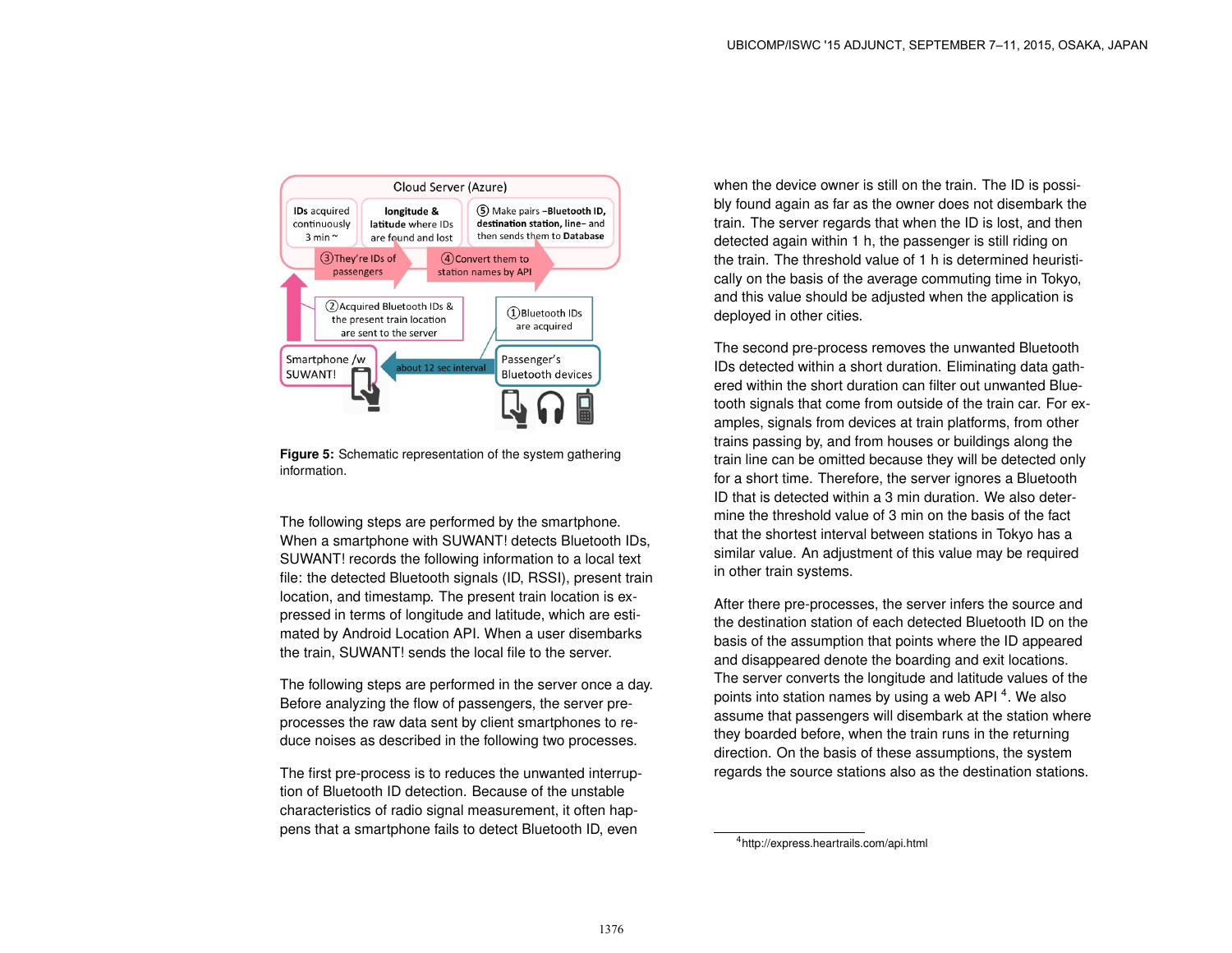<span id="page-3-0"></span>

**Figure 5:** Schematic representation of the system gathering information.

The following steps are performed by the smartphone. When a smartphone with SUWANT! detects Bluetooth IDs, SUWANT! records the following information to a local text file: the detected Bluetooth signals (ID, RSSI), present train location, and timestamp. The present train location is expressed in terms of longitude and latitude, which are estimated by Android Location API. When a user disembarks the train, SUWANT! sends the local file to the server.

The following steps are performed in the server once a day. Before analyzing the flow of passengers, the server preprocesses the raw data sent by client smartphones to reduce noises as described in the following two processes.

The first pre-process is to reduces the unwanted interruption of Bluetooth ID detection. Because of the unstable characteristics of radio signal measurement, it often happens that a smartphone fails to detect Bluetooth ID, even

when the device owner is still on the train. The ID is possibly found again as far as the owner does not disembark the train. The server regards that when the ID is lost, and then detected again within 1 h, the passenger is still riding on the train. The threshold value of 1 h is determined heuristically on the basis of the average commuting time in Tokyo, and this value should be adjusted when the application is deployed in other cities.

The second pre-process removes the unwanted Bluetooth IDs detected within a short duration. Eliminating data gathered within the short duration can filter out unwanted Bluetooth signals that come from outside of the train car. For examples, signals from devices at train platforms, from other trains passing by, and from houses or buildings along the train line can be omitted because they will be detected only for a short time. Therefore, the server ignores a Bluetooth ID that is detected within a 3 min duration. We also determine the threshold value of 3 min on the basis of the fact that the shortest interval between stations in Tokyo has a similar value. An adjustment of this value may be required in other train systems.

After there pre-processes, the server infers the source and the destination station of each detected Bluetooth ID on the basis of the assumption that points where the ID appeared and disappeared denote the boarding and exit locations. The server converts the longitude and latitude values of the points into station names by using a web API<sup>[4](#page-3-1)</sup>. We also assume that passengers will disembark at the station where they boarded before, when the train runs in the returning direction. On the basis of these assumptions, the system regards the source stations also as the destination stations.

<span id="page-3-1"></span><sup>4</sup>http://express.heartrails.com/api.html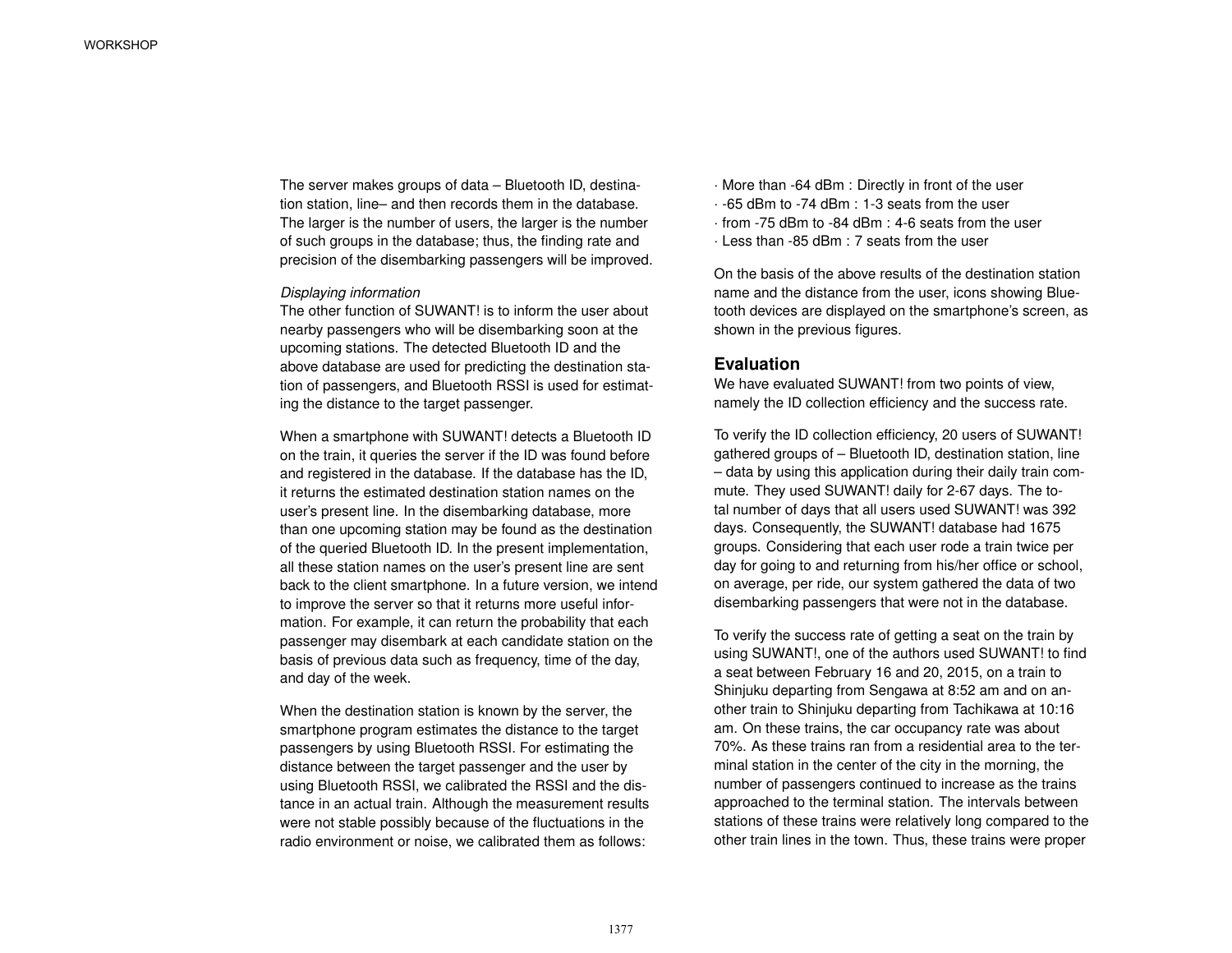The server makes groups of data – Bluetooth ID, destination station, line– and then records them in the database. The larger is the number of users, the larger is the number of such groups in the database; thus, the finding rate and precision of the disembarking passengers will be improved.

#### *Displaying information*

The other function of SUWANT! is to inform the user about nearby passengers who will be disembarking soon at the upcoming stations. The detected Bluetooth ID and the above database are used for predicting the destination station of passengers, and Bluetooth RSSI is used for estimating the distance to the target passenger.

When a smartphone with SUWANT! detects a Bluetooth ID on the train, it queries the server if the ID was found before and registered in the database. If the database has the ID, it returns the estimated destination station names on the user's present line. In the disembarking database, more than one upcoming station may be found as the destination of the queried Bluetooth ID. In the present implementation, all these station names on the user's present line are sent back to the client smartphone. In a future version, we intend to improve the server so that it returns more useful information. For example, it can return the probability that each passenger may disembark at each candidate station on the basis of previous data such as frequency, time of the day, and day of the week.

When the destination station is known by the server, the smartphone program estimates the distance to the target passengers by using Bluetooth RSSI. For estimating the distance between the target passenger and the user by using Bluetooth RSSI, we calibrated the RSSI and the distance in an actual train. Although the measurement results were not stable possibly because of the fluctuations in the radio environment or noise, we calibrated them as follows:

- · More than -64 dBm : Directly in front of the user
- · -65 dBm to -74 dBm : 1-3 seats from the user
- · from -75 dBm to -84 dBm : 4-6 seats from the user
- · Less than -85 dBm : 7 seats from the user

On the basis of the above results of the destination station name and the distance from the user, icons showing Bluetooth devices are displayed on the smartphone's screen, as shown in the previous figures.

### **Evaluation**

We have evaluated SUWANT! from two points of view, namely the ID collection efficiency and the success rate.

To verify the ID collection efficiency, 20 users of SUWANT! gathered groups of – Bluetooth ID, destination station, line – data by using this application during their daily train commute. They used SUWANT! daily for 2-67 days. The total number of days that all users used SUWANT! was 392 days. Consequently, the SUWANT! database had 1675 groups. Considering that each user rode a train twice per day for going to and returning from his/her office or school, on average, per ride, our system gathered the data of two disembarking passengers that were not in the database.

To verify the success rate of getting a seat on the train by using SUWANT!, one of the authors used SUWANT! to find a seat between February 16 and 20, 2015, on a train to Shinjuku departing from Sengawa at 8:52 am and on another train to Shinjuku departing from Tachikawa at 10:16 am. On these trains, the car occupancy rate was about 70%. As these trains ran from a residential area to the terminal station in the center of the city in the morning, the number of passengers continued to increase as the trains approached to the terminal station. The intervals between stations of these trains were relatively long compared to the other train lines in the town. Thus, these trains were proper